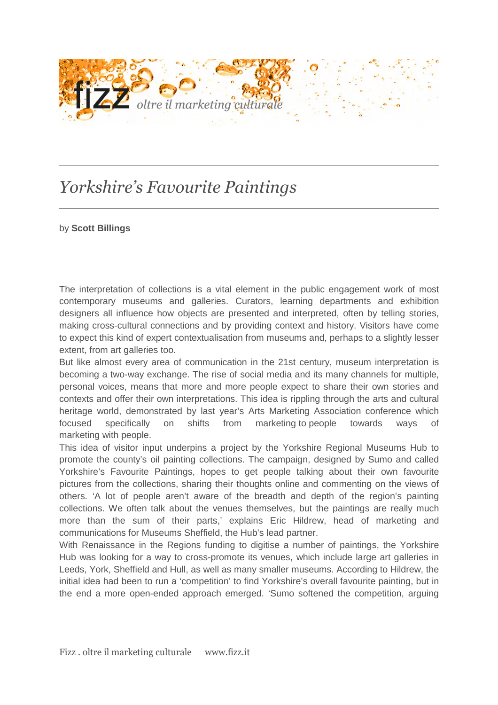

## *Yorkshire's Favourite Paintings*

## by **Scott Billings**

The interpretation of collections is a vital element in the public engagement work of most contemporary museums and galleries. Curators, learning departments and exhibition designers all influence how objects are presented and interpreted, often by telling stories, making cross-cultural connections and by providing context and history. Visitors have come to expect this kind of expert contextualisation from museums and, perhaps to a slightly lesser extent, from art galleries too.

But like almost every area of communication in the 21st century, museum interpretation is becoming a two-way exchange. The rise of social media and its many channels for multiple, personal voices, means that more and more people expect to share their own stories and contexts and offer their own interpretations. This idea is rippling through the arts and cultural heritage world, demonstrated by last year's Arts Marketing Association conference which focused specifically on shifts from marketing to people towards ways of marketing with people.

This idea of visitor input underpins a project by the Yorkshire Regional Museums Hub to promote the county's oil painting collections. The campaign, designed by Sumo and called Yorkshire's Favourite Paintings, hopes to get people talking about their own favourite pictures from the collections, sharing their thoughts online and commenting on the views of others. 'A lot of people aren't aware of the breadth and depth of the region's painting collections. We often talk about the venues themselves, but the paintings are really much more than the sum of their parts,' explains Eric Hildrew, head of marketing and communications for Museums Sheffield, the Hub's lead partner.

With Renaissance in the Regions funding to digitise a number of paintings, the Yorkshire Hub was looking for a way to cross-promote its venues, which include large art galleries in Leeds, York, Sheffield and Hull, as well as many smaller museums. According to Hildrew, the initial idea had been to run a 'competition' to find Yorkshire's overall favourite painting, but in the end a more open-ended approach emerged. 'Sumo softened the competition, arguing